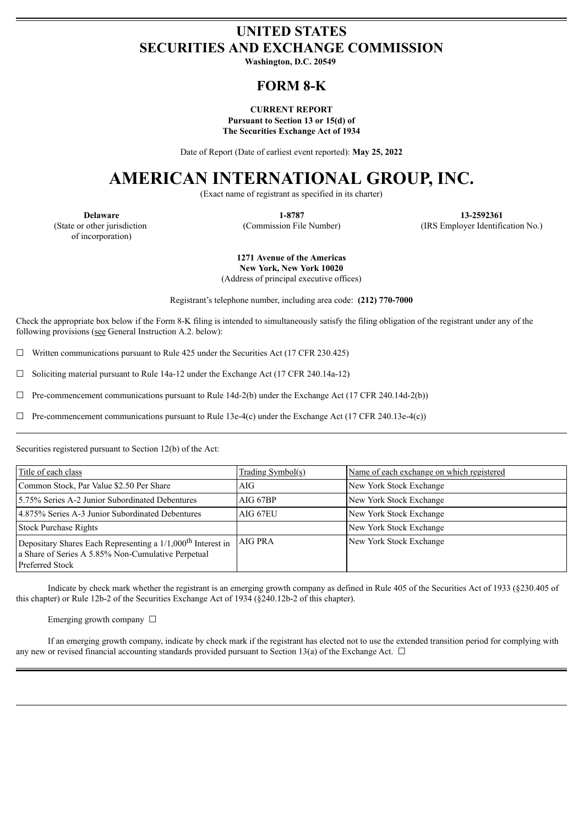# **UNITED STATES SECURITIES AND EXCHANGE COMMISSION**

**Washington, D.C. 20549**

# **FORM 8-K**

#### **CURRENT REPORT Pursuant to Section 13 or 15(d) of The Securities Exchange Act of 1934**

Date of Report (Date of earliest event reported): **May 25, 2022**

# **AMERICAN INTERNATIONAL GROUP, INC.**

(Exact name of registrant as specified in its charter)

(State or other jurisdiction of incorporation)

**Delaware 1-8787 13-2592361** (Commission File Number) (IRS Employer Identification No.)

> **1271 Avenue of the Americas New York, New York 10020**

(Address of principal executive offices)

Registrant's telephone number, including area code: **(212) 770-7000**

Check the appropriate box below if the Form 8-K filing is intended to simultaneously satisfy the filing obligation of the registrant under any of the following provisions (see General Instruction A.2. below):

 $\Box$  Written communications pursuant to Rule 425 under the Securities Act (17 CFR 230.425)

 $\Box$  Soliciting material pursuant to Rule 14a-12 under the Exchange Act (17 CFR 240.14a-12)

 $\Box$  Pre-commencement communications pursuant to Rule 14d-2(b) under the Exchange Act (17 CFR 240.14d-2(b))

 $\Box$  Pre-commencement communications pursuant to Rule 13e-4(c) under the Exchange Act (17 CFR 240.13e-4(c))

Securities registered pursuant to Section 12(b) of the Act:

| Title of each class                                                                                                                                     | <u>Trading Symbol(s)</u> | Name of each exchange on which registered |
|---------------------------------------------------------------------------------------------------------------------------------------------------------|--------------------------|-------------------------------------------|
| Common Stock, Par Value \$2.50 Per Share                                                                                                                | AIG-                     | New York Stock Exchange                   |
| 15.75% Series A-2 Junior Subordinated Debentures                                                                                                        | AIG 67BP                 | New York Stock Exchange                   |
| 4.875% Series A-3 Junior Subordinated Debentures                                                                                                        | AIG 67EU                 | New York Stock Exchange                   |
| <b>Stock Purchase Rights</b>                                                                                                                            |                          | New York Stock Exchange                   |
| Depositary Shares Each Representing a 1/1,000 <sup>th</sup> Interest in<br>a Share of Series A 5.85% Non-Cumulative Perpetual<br><b>Preferred Stock</b> | AIG PRA                  | New York Stock Exchange                   |

Indicate by check mark whether the registrant is an emerging growth company as defined in Rule 405 of the Securities Act of 1933 (§230.405 of this chapter) or Rule 12b-2 of the Securities Exchange Act of 1934 (§240.12b-2 of this chapter).

Emerging growth company  $\Box$ 

If an emerging growth company, indicate by check mark if the registrant has elected not to use the extended transition period for complying with any new or revised financial accounting standards provided pursuant to Section 13(a) of the Exchange Act.  $\Box$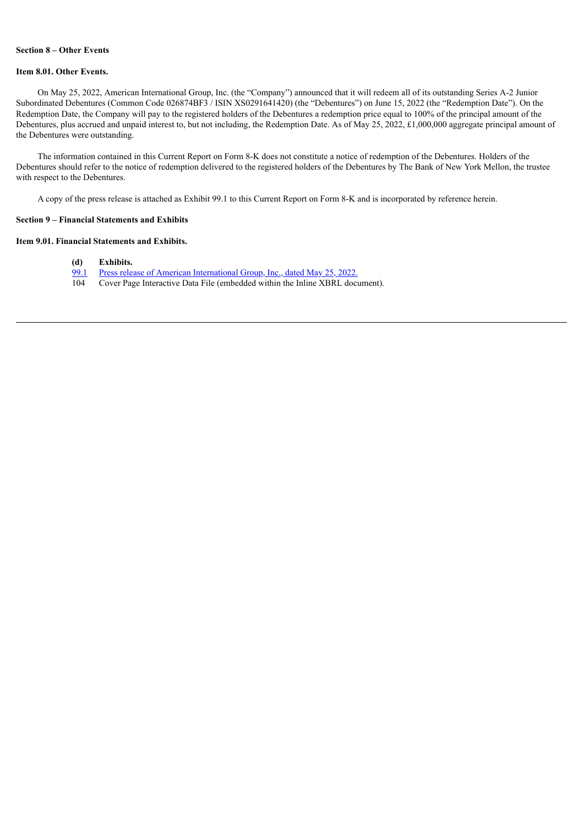## **Section 8 – Other Events**

#### **Item 8.01. Other Events.**

On May 25, 2022, American International Group, Inc. (the "Company") announced that it will redeem all of its outstanding Series A-2 Junior Subordinated Debentures (Common Code 026874BF3 / ISIN XS0291641420) (the "Debentures") on June 15, 2022 (the "Redemption Date"). On the Redemption Date, the Company will pay to the registered holders of the Debentures a redemption price equal to 100% of the principal amount of the Debentures, plus accrued and unpaid interest to, but not including, the Redemption Date. As of May 25, 2022, £1,000,000 aggregate principal amount of the Debentures were outstanding.

The information contained in this Current Report on Form 8-K does not constitute a notice of redemption of the Debentures. Holders of the Debentures should refer to the notice of redemption delivered to the registered holders of the Debentures by The Bank of New York Mellon, the trustee with respect to the Debentures.

A copy of the press release is attached as Exhibit 99.1 to this Current Report on Form 8-K and is incorporated by reference herein.

#### **Section 9 – Financial Statements and Exhibits**

## **Item 9.01. Financial Statements and Exhibits.**

- **(d) Exhibits.**
- [99.1](#page-4-0) Press release of American [International](#page-4-0) Group, Inc., dated May 25, 2022.
- 104 Cover Page Interactive Data File (embedded within the Inline XBRL document).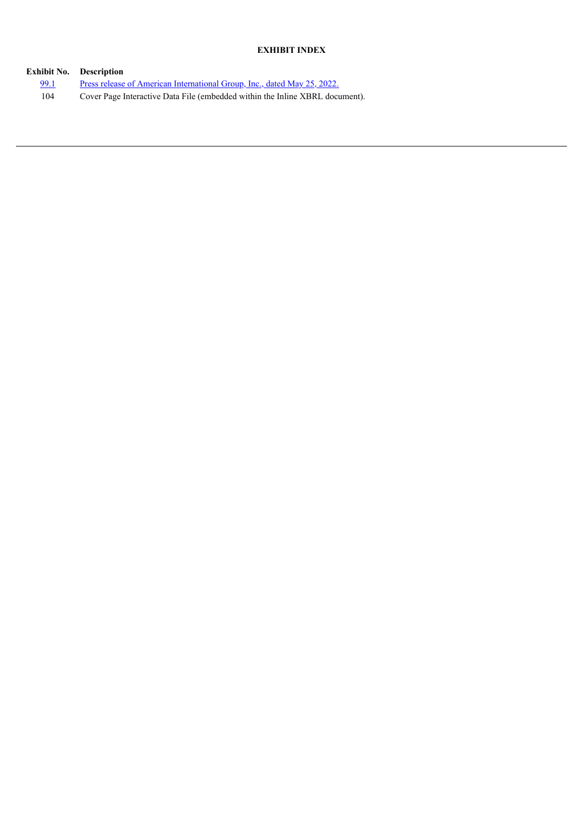## **EXHIBIT INDEX**

|      | <b>Exhibit No.</b> Description                                                  |
|------|---------------------------------------------------------------------------------|
| 99.1 | <u>Press release of American International Group, Inc., dated May 25, 2022.</u> |
| 104  | Cover Page Interactive Data File (embedded within the Inline XBRL document).    |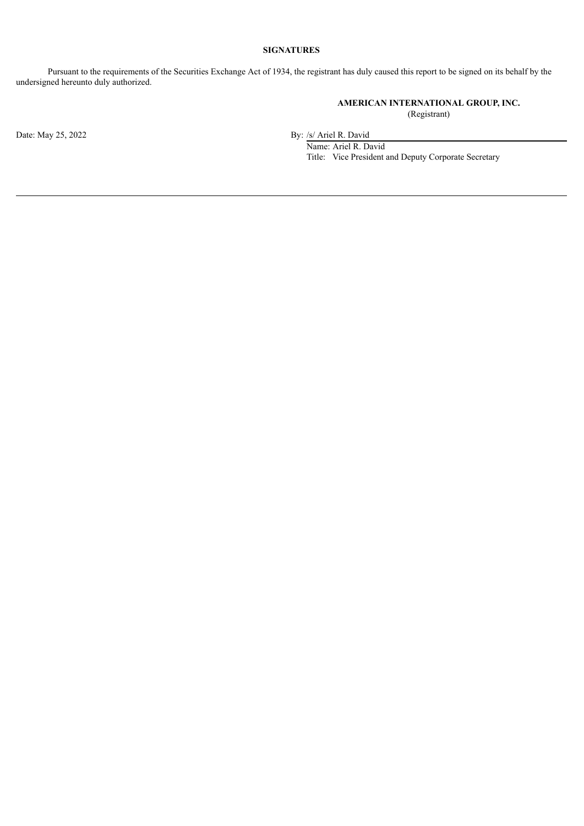## **SIGNATURES**

Pursuant to the requirements of the Securities Exchange Act of 1934, the registrant has duly caused this report to be signed on its behalf by the undersigned hereunto duly authorized.

## **AMERICAN INTERNATIONAL GROUP, INC.**

(Registrant)

Date: May 25, 2022 By: /s/ Ariel R. David

Name: Ariel R. David Title: Vice President and Deputy Corporate Secretary